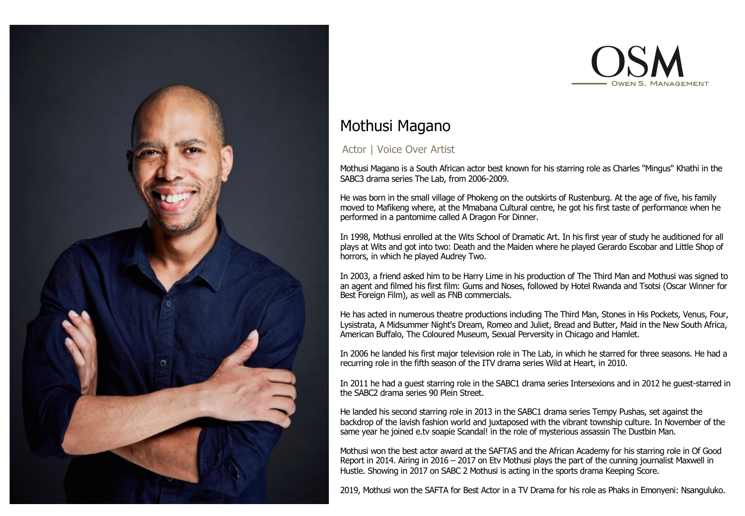



# Mothusi Magano

## Actor | Voice Over Artist

Mothusi Magano is a South African actor best known for his starring role as Charles "Mingus" Khathi in the SABC3 drama series The Lab, from 2006-2009.

He was born in the small village of Phokeng on the outskirts of Rustenburg. At the age of five, his family moved to Mafikeng where, at the Mmabana Cultural centre, he got his first taste of performance when he performed in a pantomime called A Dragon For Dinner.

In 1998, Mothusi enrolled at the Wits School of Dramatic Art. In his first year of study he auditioned for all plays at Wits and got into two: Death and the Maiden where he played Gerardo Escobar and Little Shop of horrors, in which he played Audrey Two.

In 2003, a friend asked him to be Harry Lime in his production of The Third Man and Mothusi was signed to an agent and filmed his first film: Gums and Noses, followed by Hotel Rwanda and Tsotsi (Oscar Winner for Best Foreign Film), as well as FNB commercials.

He has acted in numerous theatre productions including The Third Man, Stones in His Pockets, Venus, Four, Lysistrata, A Midsummer Night's Dream, Romeo and Juliet, Bread and Butter, Maid in the New South Africa, American Buffalo, The Coloured Museum, Sexual Perversity in Chicago and Hamlet.

In 2006 he landed his first major television role in The Lab, in which he starred for three seasons. He had a recurring role in the fifth season of the ITV drama series Wild at Heart, in 2010.

In 2011 he had a guest starring role in the SABC1 drama series Intersexions and in 2012 he guest-starred in the SABC2 drama series 90 Plein Street.

He landed his second starring role in 2013 in the SABC1 drama series Tempy Pushas, set against the backdrop of the lavish fashion world and juxtaposed with the vibrant township culture. In November of the same year he joined e.tv soapie Scandal! in the role of mysterious assassin The Dustbin Man.

Mothusi won the best actor award at the SAFTAS and the African Academy for his starring role in Of Good Report in 2014. Airing in 2016 – 2017 on Etv Mothusi plays the part of the cunning journalist Maxwell in Hustle. Showing in 2017 on SABC 2 Mothusi is acting in the sports drama Keeping Score.

2019, Mothusi won the SAFTA for Best Actor in a TV Drama for his role as Phaks in Emonyeni: Nsanguluko.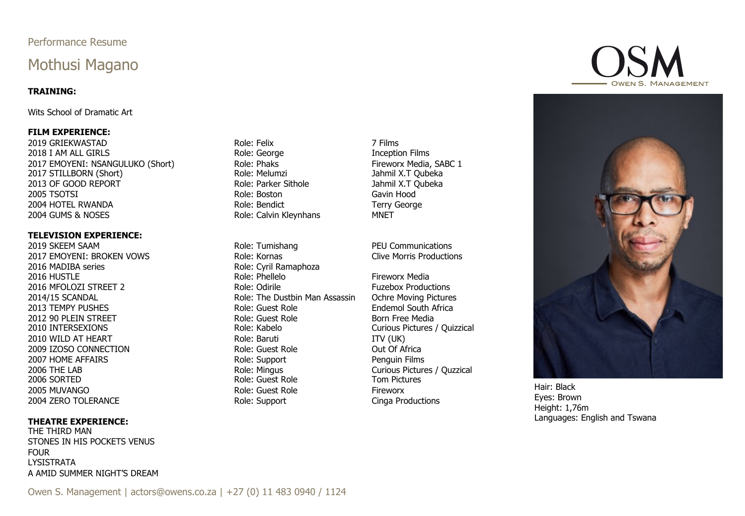### Performance Resume

## Mothusi Magano

#### **TRAINING:**

Wits School of Dramatic Art

#### **FILM EXPERIENCE:**

2019 GRIEKWASTAD Role: Felix 7 Films 2018 I AM ALL GIRLS **Example 2018** I AM ALL GIRLS **Role: George** The Extension Films 2017 EMOYENI: NSANGULUKO (Short) Role: Phaks Fireworx Media, SABC 1 2017 STILLBORN (Short) **Role: Melumzi Role: Melumzi** Jahmil X.T Qubeka 2013 OF GOOD REPORT **Role: Parker Sithole Manual Account Account Account Account Account Account Account Account** 2005 TSOTSI Role: Boston Gavin Hood 2004 HOTEL RWANDA **Role: Bendict** Terry George Role: Bendict 2004 GUMS & NOSES **Role: Calvin Kleynhans** MNET

#### **TELEVISION EXPERIENCE:**

2019 SKEEM SAAM Role: Tumishang PEU Communications 2017 EMOYENI: BROKEN VOWS Role: Kornas Clive Morris Productions 2016 MADIBA series **Role: Cyril Ramaphoza** 2016 HUSTLE **Role: Phellelo** Fireworx Media 2016 MFOLOZI STREET 2 Role: Odirile Fuzebox Productions 2014/15 SCANDAL **Role:** The Dustbin Man Assassin Ochre Moving Pictures 2013 TEMPY PUSHES **Role:** Guest Role: Guest Role **Endemol South Africa** 2012 90 PLEIN STREET THE ROLE SCHOOL ROLE: Guest Role Born Free Media<br>2010 INTERSEXIONS THE ROLE Role: Kabelo Born Born Free Media 2010 WILD AT HEART **Role: Baruti ITV (UK)** Role: Baruti **ITV (UK)** 2009 IZOSO CONNECTION THE ROLE: Guest Role Control Control Out Of Africa 2007 HOME AFFAIRS Role: Support Penguin Films 2006 THE LAB **Role: Mingus Curious Pictures / Quzzical** Role: Mingus Curious Pictures / Quzzical 2006 SORTED 2005 MUVANGO Role: Guest Role Fireworx 2004 ZERO TOLERANCE **Role: Support Cinga Productions** Role: Support Cinga Productions

#### **THEATRE EXPERIENCE:**

THE THIRD MAN STONES IN HIS POCKETS VENUS FOUR LYSISTRATA A AMID SUMMER NIGHT'S DREAM

Role: Guest Role

Curious Pictures / Quizzical





Hair: Black Eyes: Brown Height: 1,76m Languages: English and Tswana